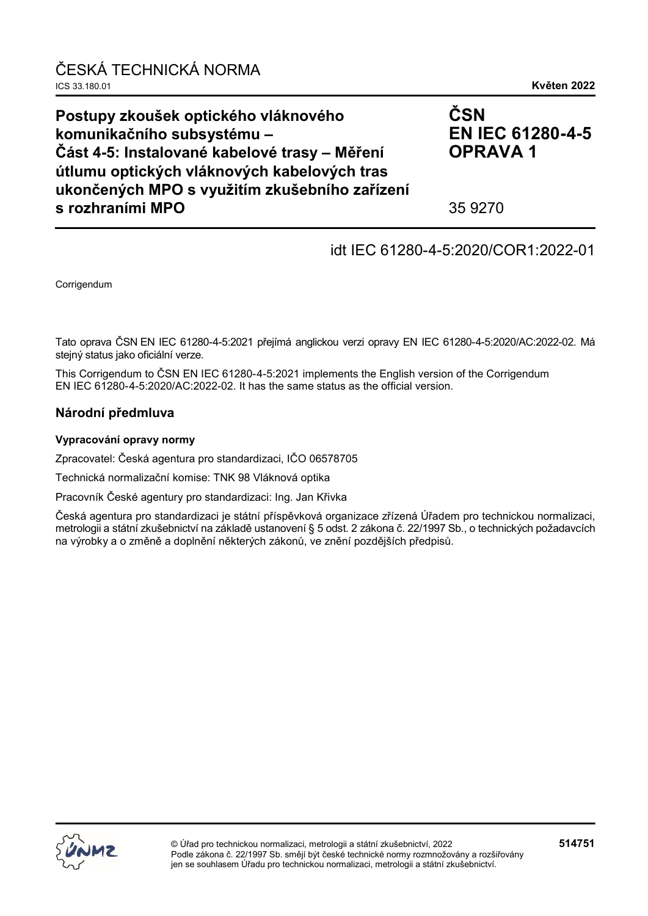| Postupy zkoušek optického vláknového<br>komunikačního subsystému -<br>Část 4-5: Instalované kabelové trasy – Měření<br>útlumu optických vláknových kabelových tras<br>ukončených MPO s využitím zkušebního zařízení | ČSN<br><b>EN IEC 61280-4-5</b><br><b>OPRAVA1</b> |
|---------------------------------------------------------------------------------------------------------------------------------------------------------------------------------------------------------------------|--------------------------------------------------|
| s rozhraními MPO                                                                                                                                                                                                    | 35 9270                                          |

## idt IEC 61280-4-5:2020/COR1:2022-01

Corrigendum

Tato oprava ČSN EN IEC 61280-4-5:2021 přejímá anglickou verzi opravy EN IEC 61280-4-5:2020/AC:2022-02. Má stejný status jako oficiální verze.

This Corrigendum to ČSN EN IEC 61280-4-5:2021 implements the English version of the Corrigendum EN IEC 61280-4-5:2020/AC:2022-02. It has the same status as the official version.

## **Národní předmluva**

## **Vypracování opravy normy**

Zpracovatel: Česká agentura pro standardizaci, IČO 06578705

Technická normalizační komise: TNK 98 Vláknová optika

Pracovník České agentury pro standardizaci: Ing. Jan Křivka

Česká agentura pro standardizaci je státní příspěvková organizace zřízená Úřadem pro technickou normalizaci, metrologii a státní zkušebnictví na základě ustanovení § 5 odst. 2 zákona č. 22/1997 Sb., o technických požadavcích na výrobky a o změně a doplnění některých zákonů, ve znění pozdějších předpisů.

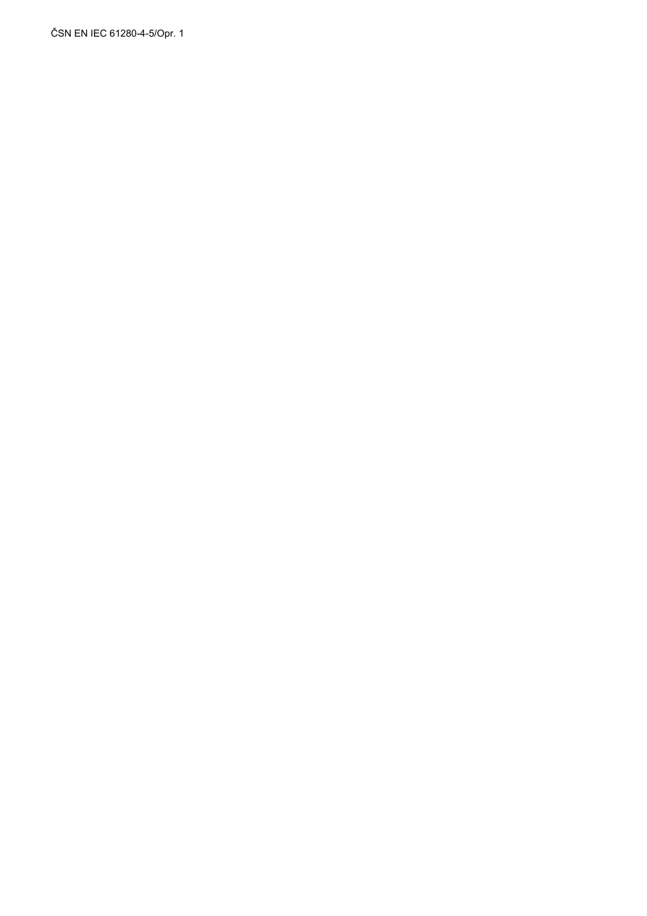ČSN EN IEC 61280-4-5/Opr. 1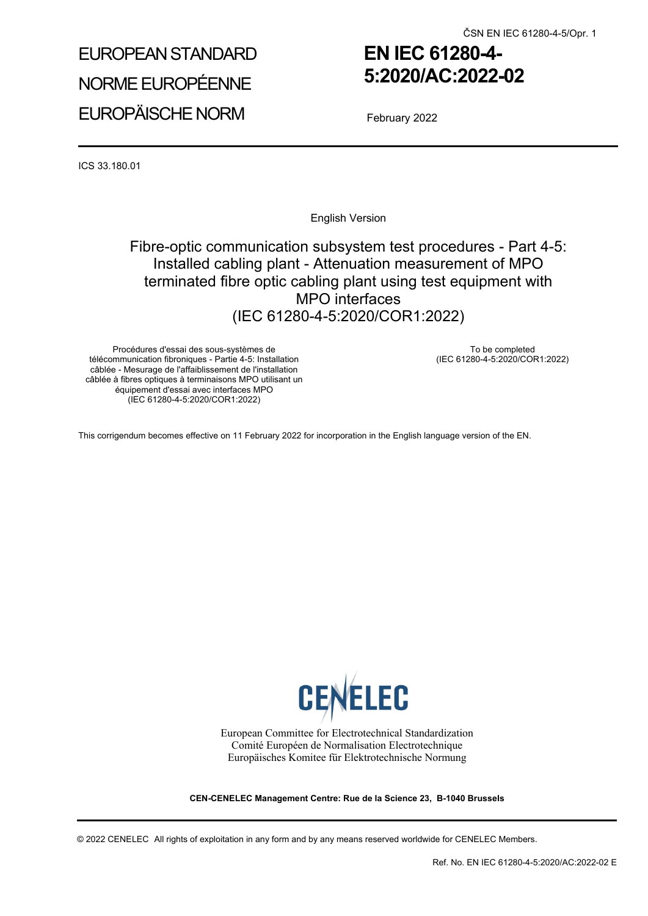# EUROPEAN STANDARD NORME EUROPÉENNE EUROPÄISCHE NORM

# **EN IEC 61280-4- 5:2020/AC:2022-02**

February 2022

ICS 33.180.01

English Version

## Fibre-optic communication subsystem test procedures - Part 4-5: Installed cabling plant - Attenuation measurement of MPO terminated fibre optic cabling plant using test equipment with MPO interfaces (IEC 61280-4-5:2020/COR1:2022)

Procédures d'essai des sous-systèmes de télécommunication fibroniques - Partie 4-5: Installation câblée - Mesurage de l'affaiblissement de l'installation câblée à fibres optiques à terminaisons MPO utilisant un équipement d'essai avec interfaces MPO (IEC 61280-4-5:2020/COR1:2022)

 To be completed (IEC 61280-4-5:2020/COR1:2022)

This corrigendum becomes effective on 11 February 2022 for incorporation in the English language version of the EN.



European Committee for Electrotechnical Standardization Comité Européen de Normalisation Electrotechnique Europäisches Komitee für Elektrotechnische Normung

**CEN-CENELEC Management Centre: Rue de la Science 23, B-1040 Brussels** 

© 2022 CENELEC All rights of exploitation in any form and by any means reserved worldwide for CENELEC Members.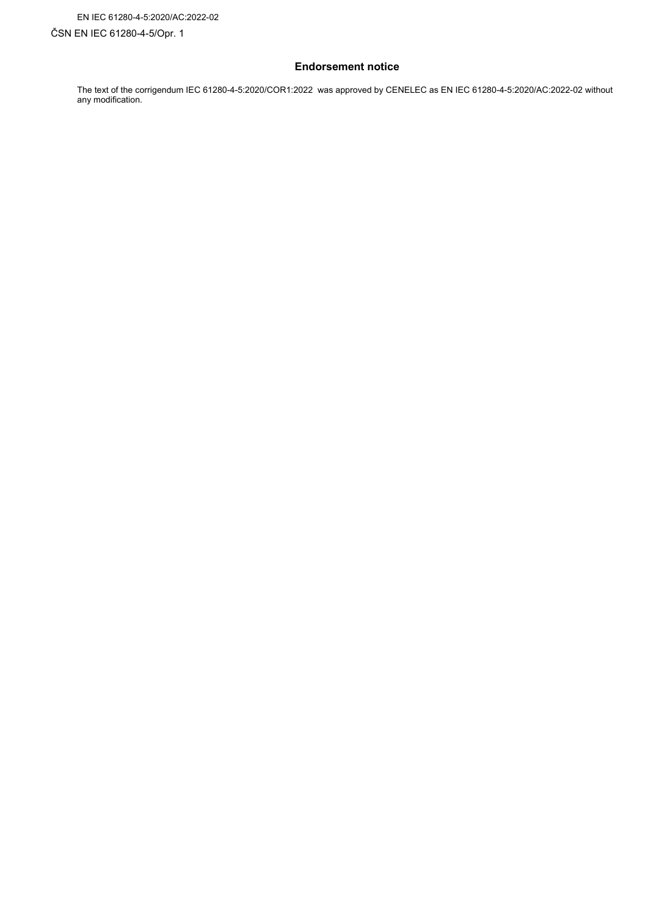EN IEC 61280-4-5:2020/AC:2022-02

ČSN EN IEC 61280-4-5/Opr. 1

## **Endorsement notice**

The text of the corrigendum IEC 61280-4-5:2020/COR1:2022 was approved by CENELEC as EN IEC 61280-4-5:2020/AC:2022-02 without any modification.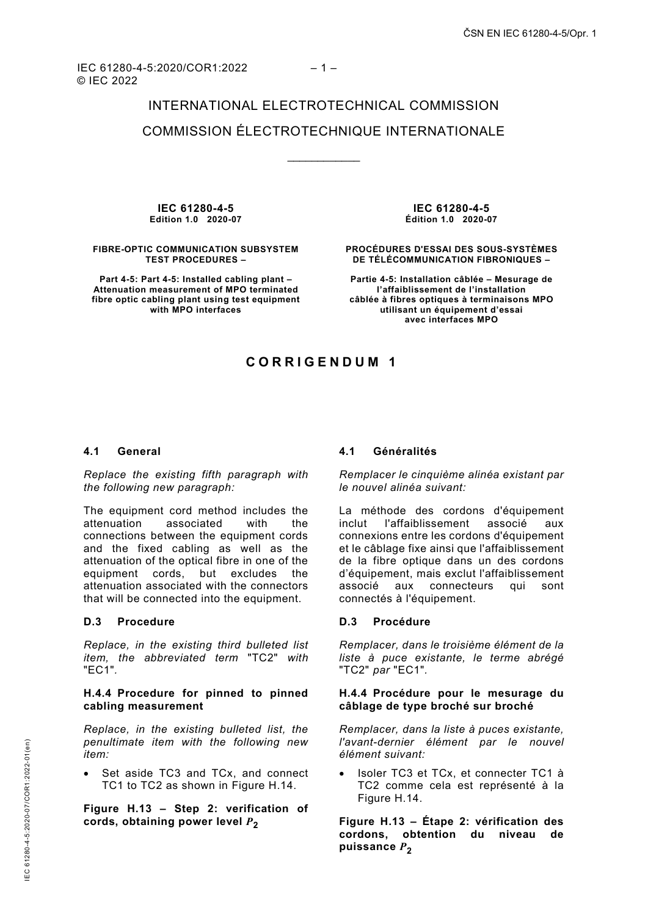IEC 61280-4-5:2020/COR1:2022  $-1 -$ © IEC 2022

# INTERNATIONAL ELECTROTECHNICAL COMMISSION COMMISSION ÉLECTROTECHNIQUE INTERNATIONALE

\_\_\_\_\_\_\_\_\_\_\_\_

**IEC 61280-4-5 Edition 1.0 2020-07**

**FIBRE-OPTIC COMMUNICATION SUBSYSTEM TEST PROCEDURES –** 

**Part 4-5: Part 4-5: Installed cabling plant – Attenuation measurement of MPO terminated fibre optic cabling plant using test equipment with MPO interfaces**

**IEC 61280-4-5 Édition 1.0 2020-07**

**PROCÉDURES D'ESSAI DES SOUS-SYSTÈMES DE TÉLÉCOMMUNICATION FIBRONIQUES –** 

**Partie 4-5: Installation câblée – Mesurage de l'affaiblissement de l'installation câblée à fibres optiques à terminaisons MPO utilisant un équipement d'essai avec interfaces MPO**

## **CORRIGENDUM 1**

## **4.1 General**

*Replace the existing fifth paragraph with the following new paragraph:*

The equipment cord method includes the<br>attenuation associated with the associated connections between the equipment cords and the fixed cabling as well as the attenuation of the optical fibre in one of the equipment cords, but excludes the attenuation associated with the connectors that will be connected into the equipment.

#### **D.3 Procedure**

*Replace, in the existing third bulleted list item, the abbreviated term* "TC2" *with*  "EC1"*.* 

**H.4.4 Procedure for pinned to pinned cabling measurement**

*Replace, in the existing bulleted list, the penultimate item with the following new item:*

Set aside TC3 and TCx, and connect TC1 to TC2 as shown in Figure H.14.

**Figure H.13 – Step 2: verification of cords, obtaining power level** *P***<sup>2</sup>**

## **4.1 Généralités**

*Remplacer le cinquième alinéa existant par le nouvel alinéa suivant:*

La méthode des cordons d'équipement inclut l'affaiblissement associé aux connexions entre les cordons d'équipement et le câblage fixe ainsi que l'affaiblissement de la fibre optique dans un des cordons d'équipement, mais exclut l'affaiblissement associé aux connecteurs qui sont connectés à l'équipement.

#### **D.3 Procédure**

*Remplacer, dans le troisième élément de la liste à puce existante, le terme abrégé*  "TC2" *par* "EC1"*.* 

## **H.4.4 Procédure pour le mesurage du câblage de type broché sur broché**

*Remplacer, dans la liste à puces existante, l'avant-dernier élément par le nouvel élément suivant:*

• Isoler TC3 et TCx, et connecter TC1 à TC2 comme cela est représenté à la Figure H.14.

**Figure H.13 – Étape 2: vérification des cordons, obtention du niveau de puissance**  $P_2$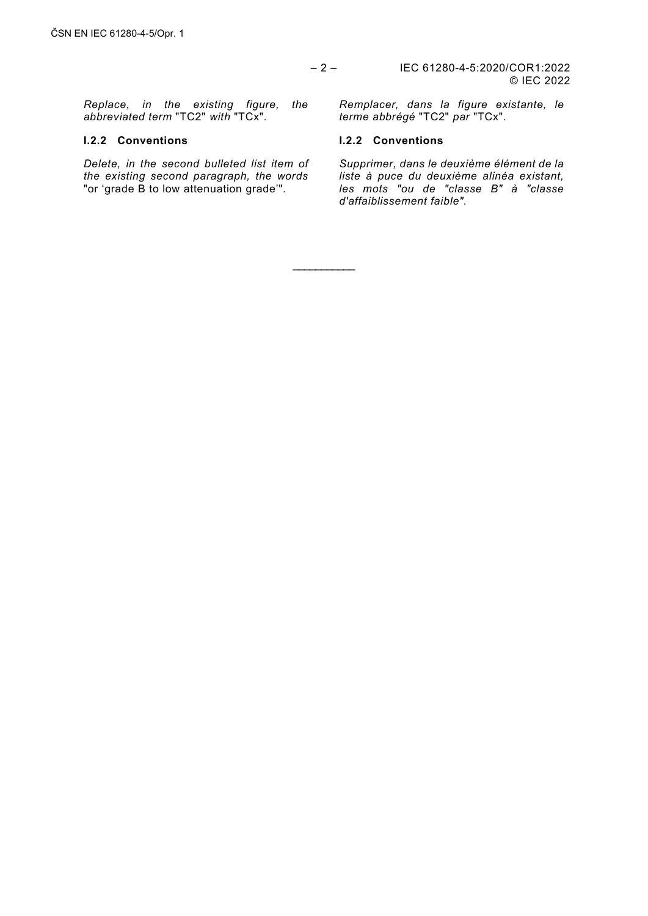\_\_\_\_\_\_\_\_\_\_\_\_\_

– 2 – IEC 61280-4-5:2020/COR1:2022 © IEC 2022

*Replace, in the existing figure, the abbreviated term* "TC2" *with* "TCx"*.* 

#### **I.2.2 Conventions**

*Delete, in the second bulleted list item of the existing second paragraph, the words*  "or 'grade B to low attenuation grade'"*.*

*Remplacer, dans la figure existante, le terme abbrégé* "TC2" *par* "TCx"*.* 

## **I.2.2 Conventions**

*Supprimer, dans le deuxième élément de la liste à puce du deuxième alinéa existant, les mots "ou de "classe B" à "classe d'affaiblissement faible".*